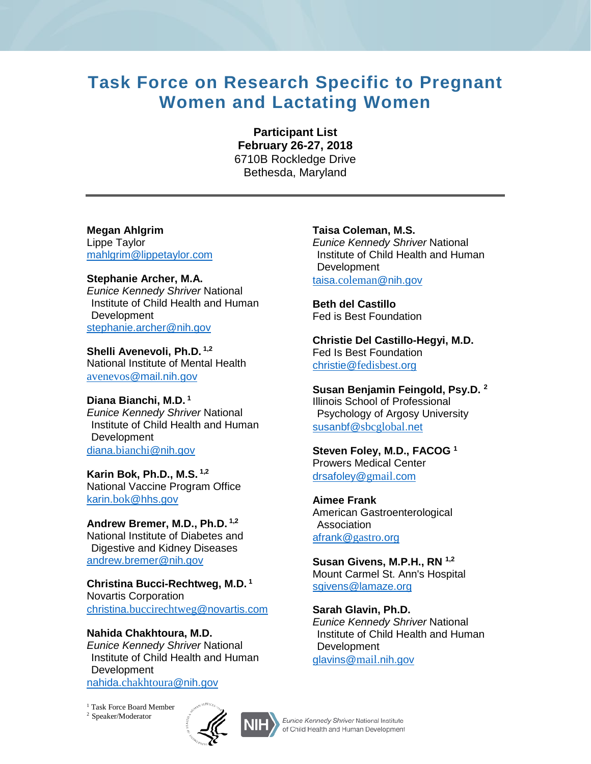# **Task Force on Research Specific to Pregnant Women and Lactating Women**

**Participant List February 26-27, 2018**  6710B Rockledge Drive Bethesda, Maryland

**Megan Ahlgrim**  Lippe Taylor [mahlgrim@lippetaylor.com](mailto:mahlgrim@lippetaylor.com)

**Stephanie Archer, M.A.**  *Eunice Kennedy Shriver* National Institute of Child Health and Human Development [stephanie.archer@nih.gov](mailto:stephanie.archer@nih.gov)

**Shelli Avenevoli, Ph.D. 1,2**  National Institute of Mental Health avenevos[@mail.nih.gov](mailto:avenevos@mail.nih.gov)

**Diana Bianchi, M.D. <sup>1</sup>** *Eunice Kennedy Shriver* National Institute of Child Health and Human **Development** diana.bianchi[@nih.gov](mailto:diana.bianchi@nih.gov)

**Karin Bok, Ph.D., M.S. 1,2** National Vaccine Program Office karin.bok[@hhs.gov](mailto:karin.bok@hhs.gov)

**Andrew Bremer, M.D., Ph.D. 1,2**  National Institute of Diabetes and

Digestive and Kidney Diseases [andrew.bremer@nih.gov](mailto:andrew.bremer@nih.gov)

**Christina Bucci-Rechtweg, M.D. <sup>1</sup>**  Novartis Corporation christina.[buccirechtweg](mailto:christina.buccirechtweg@novartis.com)@novartis.com

**Nahida Chakhtoura, M.D.** 

*Eunice Kennedy Shriver* National Institute of Child Health and Human Development nahida.[chakhtoura](mailto:nahida.chakhtoura@nih.gov)@nih.gov

<sup>1</sup> Task Force Board Member 2 Speaker/Moderator



**Taisa Coleman, M.S.** 

*Eunice Kennedy Shriver* National Institute of Child Health and Human Development taisa.coleman[@nih.gov](mailto:taisa.coleman@nih.gov)

**Beth del Castillo** Fed is Best Foundation

**Christie Del Castillo-Hegyi, M.D.**  Fed Is Best Foundation christie@[fedisbest](mailto:christie@fedisbest.org).org

**Susan Benjamin Feingold, Psy.D. <sup>2</sup>** Illinois School of Professional Psychology of Argosy University [susanbf@](mailto:susanbf@sbcglobal.net)sbcglobal.net

**Steven Foley, M.D., FACOG <sup>1</sup>**  Prowers Medical Center [drsafoley@](mailto:drsafoley@gmail.com)gmail.com

**Aimee Frank**  American Gastroenterological Association [afrank@](mailto:afrank@gastro.org)gastro.org

**Susan Givens, M.P.H., RN 1,2**  Mount Carmel St. Ann's Hospital [sgivens@lamaze.org](mailto:sgivens@lamaze.org)

**Sarah Glavin, Ph.D.**  *Eunice Kennedy Shriver* National Institute of Child Health and Human **Development** [glavins@](mailto:glavins@mail.nih.gov)mail.nih.gov

Eunice Kennedy Shriver National Institute of Child Health and Human Development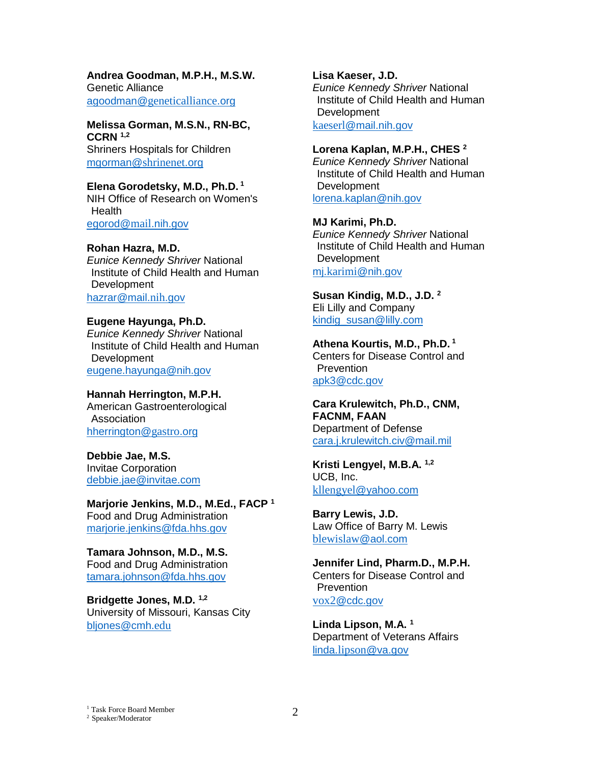**Andrea Goodman, M.P.H., M.S.W.**  Genetic Alliance agoodman@[geneticalliance](mailto:agoodman@geneticalliance.org).org

**Melissa Gorman, M.S.N., RN-BC, CCRN 1,2**  Shriners Hospitals for Children [mgorman@](mailto:mgorman@shrinenet.org)shrinenet.org

**Elena Gorodetsky, M.D., Ph.D. 1**  NIH Office of Research on Women's **Health** [egorod@](mailto:egorod@mail.nih.gov)mail.nih.gov

#### **Rohan Hazra, M.D.**

*Eunice Kennedy Shriver* National Institute of Child Health and Human **Development** [hazrar@mail.](mailto:hazrar@mail.nih.gov)nih.gov

#### **Eugene Hayunga, Ph.D.**

*Eunice Kennedy Shriver* National Institute of Child Health and Human Development [eugene.hayunga@nih.gov](mailto:eugene.hayunga@nih.gov)

#### **Hannah Herrington, M.P.H.**

American Gastroenterological **Association** [hherrington@](mailto:hherrington@gastro.org)gastro.org

**Debbie Jae, M.S.**  Invitae Corporation [debbie.jae@invitae.com](mailto:debbie.jae@invitae.com)

**Marjorie Jenkins, M.D., M.Ed., FACP <sup>1</sup>**  Food and Drug Administration [marjorie.jenkins@fda.hhs.gov](mailto:marjorie.jenkins@fda.hhs.gov)

**Tamara Johnson, M.D., M.S.**  Food and Drug Administration [tamara.johnson@fda.hhs.gov](mailto:tamara.johnson@fda.hhs.gov)

**Bridgette Jones, M.D. 1,2** University of Missouri, Kansas City [bljones@cmh.](mailto:bljones@cmh.edu)edu

**Lisa Kaeser, J.D.** 

*Eunice Kennedy Shriver* National Institute of Child Health and Human Development

kaeserl[@mail.nih.gov](mailto:kaeserl@mail.nih.gov)

## **Lorena Kaplan, M.P.H., CHES <sup>2</sup>**

*Eunice Kennedy Shriver* National Institute of Child Health and Human Development [lorena.kaplan@nih.gov](mailto:lorena.kaplan@nih.gov)

## **MJ Karimi, Ph.D.**

*Eunice Kennedy Shriver* National Institute of Child Health and Human Development mj.karimi[@nih.gov](mailto:mj.karimi@nih.gov)

**Susan Kindig, M.D., J.D. <sup>2</sup>** Eli Lilly and Company [kindig\\_susan@lilly.com](mailto:kindig_susan@lilly.com)

**Athena Kourtis, M.D., Ph.D. <sup>1</sup>**  Centers for Disease Control and **Prevention** [apk3@cdc.gov](mailto:apk3@cdc.gov)

**Cara Krulewitch, Ph.D., CNM, FACNM, FAAN**  Department of Defense [cara.j.krulewitch.civ@mail.mil](mailto:cara.j.krulewitch.civ@mail.mil)

**Kristi Lengyel, M.B.A. 1,2**  UCB, Inc. kllengyel[@yahoo.com](mailto:kllengyel@yahoo.com)

**Barry Lewis, J.D.**  Law Office of Barry M. Lewis [blewislaw](mailto:blewislaw@aol.com)@aol.com

**Jennifer Lind, Pharm.D., M.P.H.**  Centers for Disease Control and **Prevention** vox2[@cdc.gov](mailto:vox2@cdc.gov)

**Linda Lipson, M.A. <sup>1</sup>**  Department of Veterans Affairs linda.lipson[@va.gov](mailto:linda.lipson@va.gov)

<sup>1</sup> Task Force Board Member

2 Speaker/Moderator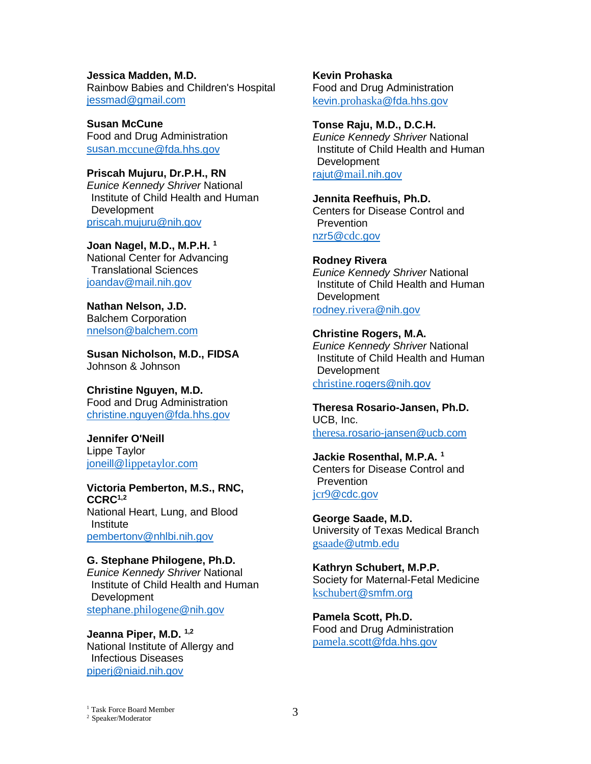**Jessica Madden, M.D.**  Rainbow Babies and Children's Hospital [jessmad@gmail.com](mailto:jessmad@gmail.com)

**Susan McCune** Food and Drug Administration susan.mccune[@fda.hhs.gov](mailto:susan.mccune@fda.hhs.gov)

**Priscah Mujuru, Dr.P.H., RN** *Eunice Kennedy Shriver* National Institute of Child Health and Human Development [priscah.mujuru@nih.gov](mailto:priscah.mujuru@nih.gov)

**Joan Nagel, M.D., M.P.H. <sup>1</sup>** National Center for Advancing Translational Sciences [joandav@mail.nih.gov](mailto:joandav@mail.nih.gov)

**Nathan Nelson, J.D.**  Balchem Corporation [nnelson@balchem.com](mailto:nnelson@balchem.com)

**Susan Nicholson, M.D., FIDSA** Johnson & Johnson

**Christine Nguyen, M.D.**  Food and Drug Administration [christine.nguyen@fda.hhs.gov](mailto:christine.nguyen@fda.hhs.gov)

**Jennifer O'Neill**  Lippe Taylor joneill@[lippetaylor](mailto:joneill@lippetaylor.com).com

**Victoria Pemberton, M.S., RNC, CCRC1,2**  National Heart, Lung, and Blood **Institute** [pembertonv@nhlbi.nih.gov](mailto:pembertonv@nhlbi.nih.gov)

**G. Stephane Philogene, Ph.D.**  *Eunice Kennedy Shriver* National Institute of Child Health and Human Development stephane.[philogene](mailto:stephane.philogene@nih.gov)@nih.gov

**Jeanna Piper, M.D. 1,2** National Institute of Allergy and Infectious Diseases [piperj@niaid.nih.gov](mailto:piperj@niaid.nih.gov)

**Kevin Prohaska** Food and Drug Administration kevin.prohaska[@fda.hhs.gov](mailto:kevin.prohaska@fda.hhs.gov)

**Tonse Raju, M.D., D.C.H.**  *Eunice Kennedy Shriver* National Institute of Child Health and Human **Development** rajut@mail[.nih.gov](mailto:rajut@mail.nih.gov)

**Jennita Reefhuis, Ph.D.**  Centers for Disease Control and **Prevention** 

[nzr5@](mailto:nzr5@cdc.gov)cdc.gov

**Rodney Rivera** *Eunice Kennedy Shriver* National Institute of Child Health and Human **Development** rodney.rivera[@nih.gov](mailto:rodney.rivera@nih.gov)

**Christine Rogers, M.A.**  *Eunice Kennedy Shriver* National Institute of Child Health and Human Development christine[.rogers@nih.gov](mailto:christine.rogers@nih.gov)

**Theresa Rosario-Jansen, Ph.D.**  UCB, Inc. theresa[.rosario-jansen@ucb.com](mailto:theresa.rosario-jansen@ucb.com)

**Jackie Rosenthal, M.P.A. 1** Centers for Disease Control and **Prevention** jcr9[@cdc.gov](mailto:jcr9@cdc.gov)

**George Saade, M.D.**  University of Texas Medical Branch gsaade[@utmb.edu](mailto:gsaade@utmb.edu)

**Kathryn Schubert, M.P.P.**  Society for Maternal-Fetal Medicine kschubert[@smfm.org](mailto:kschubert@smfm.org)

**Pamela Scott, Ph.D.**  Food and Drug Administration pamela[.scott@fda.hhs.gov](mailto:pamela.scott@fda.hhs.gov)

<sup>1</sup> Task Force Board Member  $\frac{1}{2}$  Task Force Board Member  $\frac{3}{2}$  Speaker/Moderator